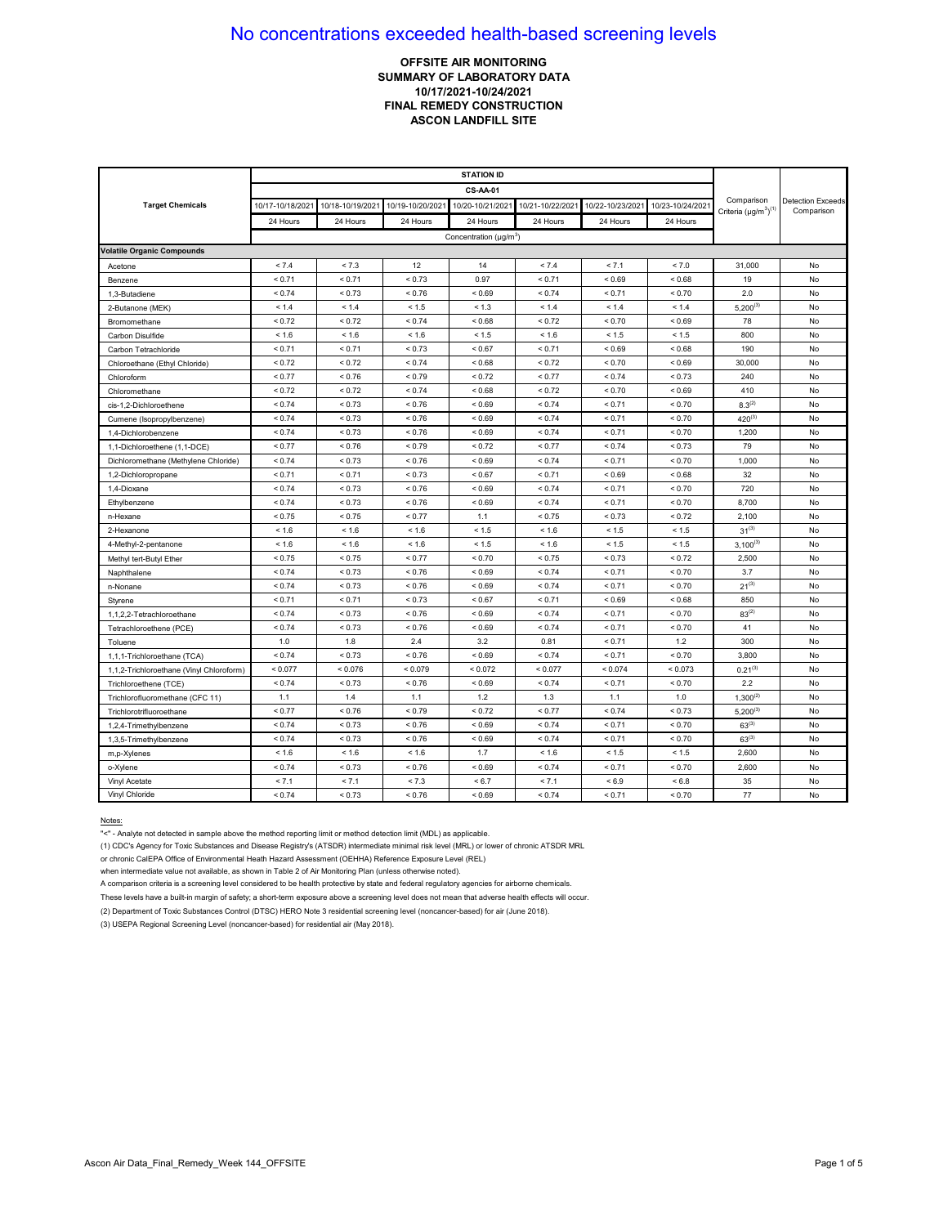### **OFFSITE AIR MONITORING SUMMARY OF LABORATORY DATA 10/17/2021-10/24/2021 FINAL REMEDY CONSTRUCTION ASCON LANDFILL SITE**

|                                          | <b>STATION ID</b> |                  |                  |                               |                  |                  |                  |                                            |                                        |
|------------------------------------------|-------------------|------------------|------------------|-------------------------------|------------------|------------------|------------------|--------------------------------------------|----------------------------------------|
|                                          |                   |                  |                  | <b>CS-AA-01</b>               |                  |                  |                  |                                            |                                        |
| <b>Target Chemicals</b>                  | 10/17-10/18/2021  | 10/18-10/19/2021 | 10/19-10/20/2021 | 10/20-10/21/202               | 10/21-10/22/2021 | 10/22-10/23/2021 | 10/23-10/24/2021 | Comparison<br>Criteria $(\mu g/m^3)^{(1)}$ | <b>Detection Exceeds</b><br>Comparison |
|                                          | 24 Hours          | 24 Hours         | 24 Hours         | 24 Hours                      | 24 Hours         | 24 Hours         | 24 Hours         |                                            |                                        |
|                                          |                   |                  |                  | Concentration ( $\mu q/m^3$ ) |                  |                  |                  |                                            |                                        |
| <b>Volatile Organic Compounds</b>        |                   |                  |                  |                               |                  |                  |                  |                                            |                                        |
| Acetone                                  | < 7.4             | < 7.3            | 12               | 14                            | < 7.4            | < 7.1            | < 7.0            | 31,000                                     | No                                     |
| Benzene                                  | < 0.71            | < 0.71           | < 0.73           | 0.97                          | < 0.71           | < 0.69           | < 0.68           | 19                                         | No                                     |
| 1,3-Butadiene                            | < 0.74            | < 0.73           | ${}_{0.76}$      | ${}_{0.69}$                   | ${}_{0.74}$      | < 0.71           | ${}_{0.70}$      | 2.0                                        | No                                     |
| 2-Butanone (MEK)                         | < 1.4             | < 1.4            | < 1.5            | < 1.3                         | < 1.4            | < 1.4            | < 1.4            | $5,200^{(3)}$                              | No                                     |
| Bromomethane                             | < 0.72            | < 0.72           | < 0.74           | < 0.68                        | < 0.72           | < 0.70           | ${}_{0.69}$      | 78                                         | No                                     |
| Carbon Disulfide                         | < 1.6             | < 1.6            | < 1.6            | < 1.5                         | < 1.6            | < 1.5            | < 1.5            | 800                                        | No                                     |
| Carbon Tetrachloride                     | < 0.71            | < 0.71           | ${}_{0.73}$      | < 0.67                        | < 0.71           | ${}_{0.69}$      | < 0.68           | 190                                        | No                                     |
| Chloroethane (Ethyl Chloride)            | < 0.72            | < 0.72           | ${}_{0.74}$      | ${}_{0.68}$                   | < 0.72           | ${}_{0.70}$      | ${}_{0.69}$      | 30,000                                     | No                                     |
| Chloroform                               | < 0.77            | < 0.76           | < 0.79           | < 0.72                        | < 0.77           | < 0.74           | < 0.73           | 240                                        | No                                     |
| Chloromethane                            | < 0.72            | < 0.72           | ${}_{0.74}$      | ${}_{0.68}$                   | < 0.72           | ${}_{0.70}$      | ${}_{0.69}$      | 410                                        | No                                     |
| cis-1.2-Dichloroethene                   | < 0.74            | < 0.73           | < 0.76           | < 0.69                        | < 0.74           | < 0.71           | < 0.70           | $8.3^{(2)}$                                | No                                     |
| Cumene (Isopropylbenzene)                | < 0.74            | < 0.73           | < 0.76           | < 0.69                        | < 0.74           | < 0.71           | < 0.70           | $420^{(3)}$                                | No                                     |
| 1,4-Dichlorobenzene                      | < 0.74            | < 0.73           | ${}_{0.76}$      | ${}_{0.69}$                   | ${}_{0.74}$      | < 0.71           | ${}_{0.70}$      | 1,200                                      | No                                     |
| 1,1-Dichloroethene (1,1-DCE)             | < 0.77            | < 0.76           | < 0.79           | < 0.72                        | < 0.77           | < 0.74           | < 0.73           | 79                                         | No                                     |
| Dichloromethane (Methylene Chloride)     | < 0.74            | < 0.73           | < 0.76           | ${}_{<0.69}$                  | < 0.74           | < 0.71           | < 0.70           | 1,000                                      | No                                     |
| 1,2-Dichloropropane                      | < 0.71            | < 0.71           | ${}_{0.73}$      | ${}_{0.67}$                   | < 0.71           | ${}_{0.69}$      | < 0.68           | 32                                         | No                                     |
| 1,4-Dioxane                              | < 0.74            | < 0.73           | ${}_{0.76}$      | ${}_{0.69}$                   | ${}_{0.74}$      | < 0.71           | ${}_{0.70}$      | 720                                        | No                                     |
| Ethylbenzene                             | < 0.74            | < 0.73           | < 0.76           | < 0.69                        | < 0.74           | < 0.71           | < 0.70           | 8,700                                      | No                                     |
| n-Hexane                                 | < 0.75            | < 0.75           | < 0.77           | 1.1                           | < 0.75           | < 0.73           | < 0.72           | 2,100                                      | No                                     |
| 2-Hexanone                               | < 1.6             | < 1.6            | < 1.6            | < 1.5                         | < 1.6            | < 1.5            | < 1.5            | $31^{(3)}$                                 | No                                     |
| 4-Methyl-2-pentanone                     | < 1.6             | < 1.6            | < 1.6            | < 1.5                         | < 1.6            | < 1.5            | < 1.5            | $3.100^{(3)}$                              | No                                     |
| Methyl tert-Butyl Ether                  | < 0.75            | < 0.75           | ${}_{0.77}$      | < 0.70                        | < 0.75           | ${}_{0.73}$      | < 0.72           | 2,500                                      | No                                     |
| Naphthalene                              | < 0.74            | < 0.73           | < 0.76           | < 0.69                        | < 0.74           | < 0.71           | < 0.70           | 3.7                                        | No                                     |
| n-Nonane                                 | < 0.74            | < 0.73           | ${}_{0.76}$      | ${}_{0.69}$                   | ${}_{0.74}$      | < 0.71           | ${}_{0.70}$      | $21^{(3)}$                                 | No                                     |
| Styrene                                  | < 0.71            | < 0.71           | ${}_{0.73}$      | ${}_{0.67}$                   | < 0.71           | ${}_{0.69}$      | < 0.68           | 850                                        | No                                     |
| 1,1,2,2-Tetrachloroethane                | < 0.74            | < 0.73           | ${}_{0.76}$      | < 0.69                        | ${}_{0.74}$      | < 0.71           | < 0.70           | $83^{(2)}$                                 | No                                     |
| Tetrachloroethene (PCE)                  | < 0.74            | < 0.73           | < 0.76           | < 0.69                        | < 0.74           | < 0.71           | < 0.70           | 41                                         | No                                     |
| Toluene                                  | 1.0               | 1.8              | 2.4              | 3.2                           | 0.81             | < 0.71           | 1.2              | 300                                        | No                                     |
| 1,1,1-Trichloroethane (TCA)              | < 0.74            | < 0.73           | ${}_{0.76}$      | ${}_{0.69}$                   | < 0.74           | < 0.71           | ${}_{0.70}$      | 3,800                                      | No                                     |
| 1,1,2-Trichloroethane (Vinyl Chloroform) | < 0.077           | < 0.076          | < 0.079          | < 0.072                       | < 0.077          | < 0.074          | < 0.073          | $0.21^{(3)}$                               | No                                     |
| Trichloroethene (TCE)                    | < 0.74            | < 0.73           | < 0.76           | ${}_{0.69}$                   | < 0.74           | < 0.71           | ${}_{0.70}$      | 2.2                                        | No                                     |
| Trichlorofluoromethane (CFC 11)          | 1.1               | 1.4              | 1.1              | 1.2                           | 1.3              | 1.1              | 1.0              | $1,300^{(2)}$                              | No                                     |
| Trichlorotrifluoroethane                 | < 0.77            | < 0.76           | < 0.79           | < 0.72                        | < 0.77           | < 0.74           | < 0.73           | $5,200^{(3)}$                              | No                                     |
| 1,2,4-Trimethylbenzene                   | < 0.74            | < 0.73           | ${}_{0.76}$      | ${}_{0.69}$                   | ${}_{0.74}$      | < 0.71           | ${}_{0.70}$      | $63^{(3)}$                                 | No                                     |
| 1,3,5-Trimethylbenzene                   | < 0.74            | < 0.73           | ${}_{0.76}$      | < 0.69                        | < 0.74           | < 0.71           | ${}_{0.70}$      | $63^{(3)}$                                 | No                                     |
| m,p-Xylenes                              | < 1.6             | < 1.6            | < 1.6            | 1.7                           | < 1.6            | < 1.5            | < 1.5            | 2,600                                      | No                                     |
| o-Xylene                                 | < 0.74            | < 0.73           | < 0.76           | < 0.69                        | < 0.74           | < 0.71           | < 0.70           | 2,600                                      | No                                     |
| Vinyl Acetate                            | < 7.1             | < 7.1            | < 7.3            | < 6.7                         | < 7.1            | ${}_{5.9}$       | < 6.8            | 35                                         | No                                     |
| Vinyl Chloride                           | < 0.74            | < 0.73           | ${}_{0.76}$      | ${}_{0.69}$                   | ${}_{0.74}$      | < 0.71           | ${}_{0.70}$      | 77                                         | No                                     |

#### Notes:

"<" - Analyte not detected in sample above the method reporting limit or method detection limit (MDL) as applicable.

(1) CDC's Agency for Toxic Substances and Disease Registry's (ATSDR) intermediate minimal risk level (MRL) or lower of chronic ATSDR MRL

or chronic CalEPA Office of Environmental Heath Hazard Assessment (OEHHA) Reference Exposure Level (REL)

when intermediate value not available, as shown in Table 2 of Air Monitoring Plan (unless otherwise noted).

A comparison criteria is a screening level considered to be health protective by state and federal regulatory agencies for airborne chemicals.

These levels have a built-in margin of safety; a short-term exposure above a screening level does not mean that adverse health effects will occur.

(2) Department of Toxic Substances Control (DTSC) HERO Note 3 residential screening level (noncancer-based) for air (June 2018).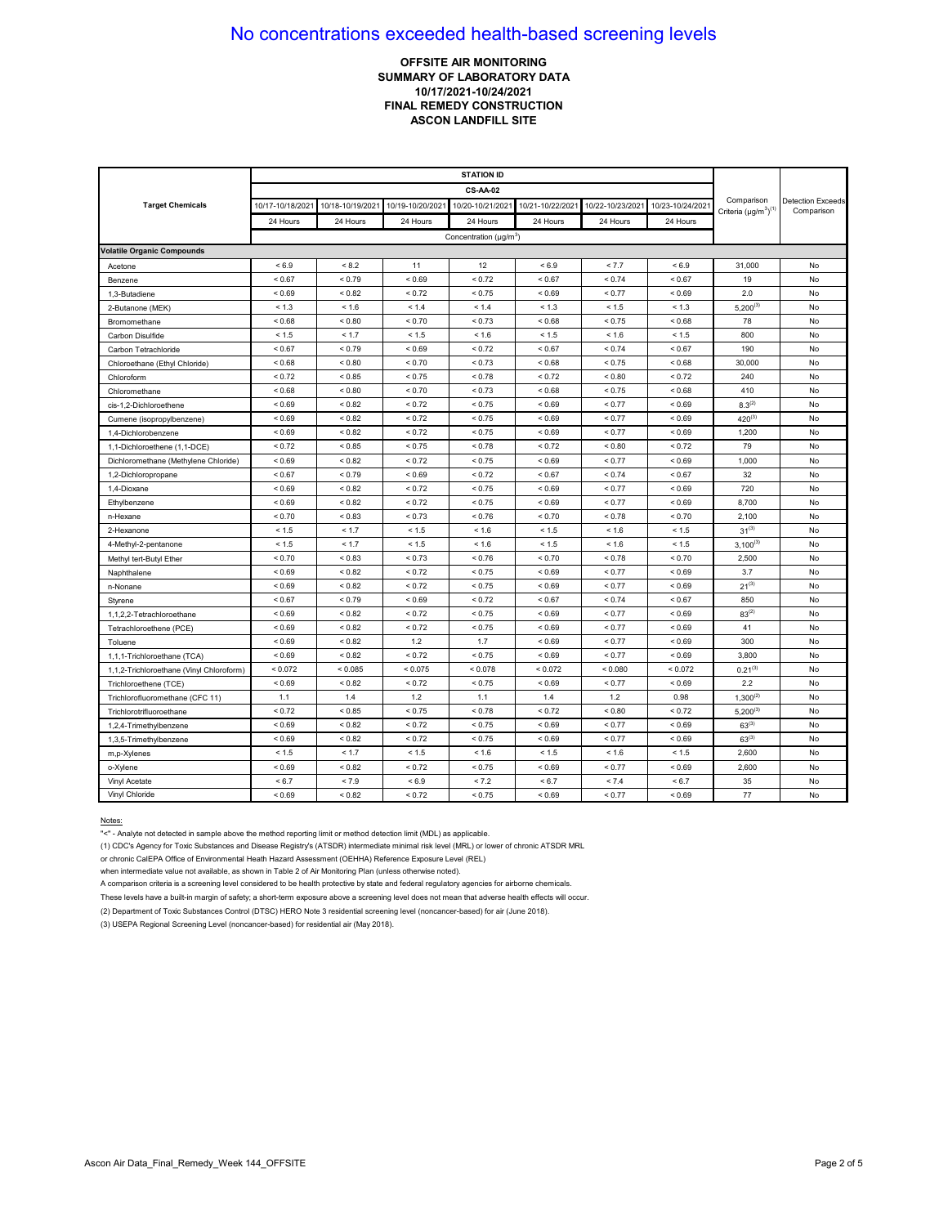### **OFFSITE AIR MONITORING SUMMARY OF LABORATORY DATA 10/17/2021-10/24/2021 FINAL REMEDY CONSTRUCTION ASCON LANDFILL SITE**

|                                          | <b>STATION ID</b> |                  |                  |                                    |                  |                  |                  |                                            |                                        |
|------------------------------------------|-------------------|------------------|------------------|------------------------------------|------------------|------------------|------------------|--------------------------------------------|----------------------------------------|
|                                          |                   |                  |                  | <b>CS-AA-02</b>                    |                  |                  |                  |                                            |                                        |
| <b>Target Chemicals</b>                  | 10/17-10/18/2021  | 10/18-10/19/2021 | 10/19-10/20/2021 | 10/20-10/21/202                    | 10/21-10/22/2021 | 10/22-10/23/2021 | 10/23-10/24/2021 | Comparison<br>Criteria $(\mu g/m^3)^{(1)}$ | <b>Detection Exceeds</b><br>Comparison |
|                                          | 24 Hours          | 24 Hours         | 24 Hours         | 24 Hours                           | 24 Hours         | 24 Hours         | 24 Hours         |                                            |                                        |
|                                          |                   |                  |                  | Concentration (µg/m <sup>3</sup> ) |                  |                  |                  |                                            |                                        |
| <b>Volatile Organic Compounds</b>        |                   |                  |                  |                                    |                  |                  |                  |                                            |                                        |
| Acetone                                  | ${}_{5.9}$        | < 8.2            | 11               | 12                                 | < 6.9            | < 7.7            | < 6.9            | 31,000                                     | No                                     |
| Benzene                                  | < 0.67            | < 0.79           | ${}_{0.69}$      | < 0.72                             | < 0.67           | < 0.74           | < 0.67           | 19                                         | No                                     |
| 1,3-Butadiene                            | < 0.69            | < 0.82           | < 0.72           | < 0.75                             | ${}_{0.69}$      | < 0.77           | ${}_{0.69}$      | 2.0                                        | No                                     |
| 2-Butanone (MEK)                         | < 1.3             | < 1.6            | < 1.4            | < 1.4                              | < 1.3            | < 1.5            | < 1.3            | $5,200^{(3)}$                              | No                                     |
| Bromomethane                             | < 0.68            | ${}_{0.80}$      | ${}_{0.70}$      | < 0.73                             | ${}_{0.68}$      | < 0.75           | < 0.68           | 78                                         | No                                     |
| Carbon Disulfide                         | < 1.5             | < 1.7            | < 1.5            | < 1.6                              | < 1.5            | < 1.6            | < 1.5            | 800                                        | No                                     |
| Carbon Tetrachloride                     | < 0.67            | < 0.79           | ${}_{0.69}$      | < 0.72                             | < 0.67           | < 0.74           | < 0.67           | 190                                        | No                                     |
| Chloroethane (Ethyl Chloride)            | ${}_{<0.68}$      | < 0.80           | < 0.70           | < 0.73                             | ${}_{<0.68}$     | < 0.75           | < 0.68           | 30,000                                     | No                                     |
| Chloroform                               | < 0.72            | ${}_{< 0.85}$    | ${}_{0.75}$      | ${}_{5.78}$                        | ${}_{0.72}$      | ${}_{0.80}$      | < 0.72           | 240                                        | No                                     |
| Chloromethane                            | ${}_{0.68}$       | ${}_{0.80}$      | ${}_{0.70}$      | < 0.73                             | ${}_{0.68}$      | < 0.75           | < 0.68           | 410                                        | No                                     |
| cis-1.2-Dichloroethene                   | ${}_{0.69}$       | < 0.82           | < 0.72           | < 0.75                             | ${}_{0.69}$      | < 0.77           | ${}_{0.69}$      | $8.3^{(2)}$                                | No                                     |
| Cumene (isopropylbenzene)                | ${}_{0.69}$       | < 0.82           | < 0.72           | < 0.75                             | ${}_{0.69}$      | < 0.77           | < 0.69           | $420^{(3)}$                                | No                                     |
| 1.4-Dichlorobenzene                      | ${}_{0.69}$       | < 0.82           | < 0.72           | < 0.75                             | ${}_{0.69}$      | < 0.77           | ${}_{0.69}$      | 1,200                                      | No                                     |
| 1,1-Dichloroethene (1,1-DCE)             | < 0.72            | < 0.85           | < 0.75           | < 0.78                             | ${}_{0.72}$      | ${}_{0.80}$      | < 0.72           | 79                                         | No                                     |
| Dichloromethane (Methylene Chloride)     | ${}_{0.69}$       | ${}_{0.82}$      | ${}_{0.72}$      | < 0.75                             | ${}_{0.69}$      | < 0.77           | ${}_{0.69}$      | 1,000                                      | No                                     |
| 1,2-Dichloropropane                      | < 0.67            | < 0.79           | ${}_{0.69}$      | < 0.72                             | < 0.67           | < 0.74           | < 0.67           | 32                                         | No                                     |
| 1,4-Dioxane                              | ${}_{0.69}$       | ${}_{0.82}$      | < 0.72           | < 0.75                             | ${}_{0.69}$      | < 0.77           | ${}_{0.69}$      | 720                                        | No                                     |
| Ethylbenzene                             | ${}_{0.69}$       | < 0.82           | < 0.72           | < 0.75                             | ${}_{0.69}$      | < 0.77           | ${}_{0.69}$      | 8,700                                      | No                                     |
| n-Hexane                                 | ${}_{0.70}$       | < 0.83           | ${}_{0.73}$      | < 0.76                             | < 0.70           | < 0.78           | ${}_{0.70}$      | 2,100                                      | No                                     |
| 2-Hexanone                               | < 1.5             | < 1.7            | < 1.5            | < 1.6                              | < 1.5            | < 1.6            | < 1.5            | $31^{(3)}$                                 | No                                     |
| 4-Methyl-2-pentanone                     | < 1.5             | < 1.7            | < 1.5            | < 1.6                              | < 1.5            | < 1.6            | < 1.5            | $3,100^{(3)}$                              | No                                     |
| Methyl tert-Butyl Ether                  | ${}_{0.70}$       | < 0.83           | < 0.73           | < 0.76                             | < 0.70           | < 0.78           | < 0.70           | 2,500                                      | No                                     |
| Naphthalene                              | < 0.69            | < 0.82           | < 0.72           | < 0.75                             | ${}_{0.69}$      | < 0.77           | < 0.69           | 3.7                                        | No                                     |
| n-Nonane                                 | ${}_{0.69}$       | ${}_{0.82}$      | ${}_{0.72}$      | < 0.75                             | ${}_{0.69}$      | < 0.77           | ${}_{0.69}$      | $21^{(3)}$                                 | No                                     |
| Styrene                                  | < 0.67            | < 0.79           | ${}_{0.69}$      | < 0.72                             | < 0.67           | < 0.74           | < 0.67           | 850                                        | No                                     |
| 1,1,2,2-Tetrachloroethane                | ${}_{0.69}$       | < 0.82           | ${}_{0.72}$      | < 0.75                             | ${}_{0.69}$      | < 0.77           | ${}_{0.69}$      | $83^{(2)}$                                 | No                                     |
| Tetrachloroethene (PCE)                  | ${}_{0.69}$       | < 0.82           | < 0.72           | < 0.75                             | ${}_{<0.69}$     | < 0.77           | ${}_{0.69}$      | 41                                         | No                                     |
| Toluene                                  | ${}_{0.69}$       | ${}_{0.82}$      | 1.2              | 1.7                                | ${}_{0.69}$      | < 0.77           | ${}_{0.69}$      | 300                                        | No                                     |
| 1,1,1-Trichloroethane (TCA)              | ${}_{0.69}$       | < 0.82           | ${}_{0.72}$      | < 0.75                             | ${}_{0.69}$      | < 0.77           | ${}_{0.69}$      | 3,800                                      | No                                     |
| 1,1,2-Trichloroethane (Vinyl Chloroform) | < 0.072           | < 0.085          | ${}_{0.075}$     | < 0.078                            | < 0.072          | < 0.080          | < 0.072          | $0.21^{(3)}$                               | No                                     |
| Trichloroethene (TCE)                    | < 0.69            | < 0.82           | < 0.72           | < 0.75                             | < 0.69           | < 0.77           | < 0.69           | 2.2                                        | No                                     |
| Trichlorofluoromethane (CFC 11)          | 1.1               | 1.4              | 1.2              | 1.1                                | 1.4              | 1.2              | 0.98             | $1,300^{(2)}$                              | No                                     |
| Trichlorotrifluoroethane                 | < 0.72            | < 0.85           | < 0.75           | ${}_{0.78}$                        | ${}_{0.72}$      | ${}_{0.80}$      | < 0.72           | $5,200^{(3)}$                              | No                                     |
| 1,2,4-Trimethylbenzene                   | ${}_{0.69}$       | < 0.82           | ${}_{0.72}$      | < 0.75                             | ${}_{0.69}$      | < 0.77           | ${}_{0.69}$      | $63^{(3)}$                                 | No                                     |
| 1,3,5-Trimethylbenzene                   | ${}_{0.69}$       | ${}_{0.82}$      | ${}_{0.72}$      | < 0.75                             | ${}_{0.69}$      | < 0.77           | ${}_{0.69}$      | $63^{(3)}$                                 | No                                     |
| m,p-Xylenes                              | < 1.5             | < 1.7            | < 1.5            | < 1.6                              | < 1.5            | < 1.6            | < 1.5            | 2,600                                      | No                                     |
| o-Xylene                                 | ${}_{0.69}$       | < 0.82           | ${}_{0.72}$      | < 0.75                             | < 0.69           | < 0.77           | ${}_{0.69}$      | 2,600                                      | No                                     |
| Vinyl Acetate                            | < 6.7             | < 7.9            | ${}_{5.9}$       | < 7.2                              | < 6.7            | < 7.4            | < 6.7            | 35                                         | No                                     |
| Vinyl Chloride                           | < 0.69            |                  | < 0.72           | < 0.75                             | ${}_{0.69}$      | < 0.77           | ${}_{0.69}$      | 77                                         | No                                     |

#### Notes:

"<" - Analyte not detected in sample above the method reporting limit or method detection limit (MDL) as applicable.

(1) CDC's Agency for Toxic Substances and Disease Registry's (ATSDR) intermediate minimal risk level (MRL) or lower of chronic ATSDR MRL

or chronic CalEPA Office of Environmental Heath Hazard Assessment (OEHHA) Reference Exposure Level (REL)

when intermediate value not available, as shown in Table 2 of Air Monitoring Plan (unless otherwise noted).

A comparison criteria is a screening level considered to be health protective by state and federal regulatory agencies for airborne chemicals.

These levels have a built-in margin of safety; a short-term exposure above a screening level does not mean that adverse health effects will occur.

(2) Department of Toxic Substances Control (DTSC) HERO Note 3 residential screening level (noncancer-based) for air (June 2018).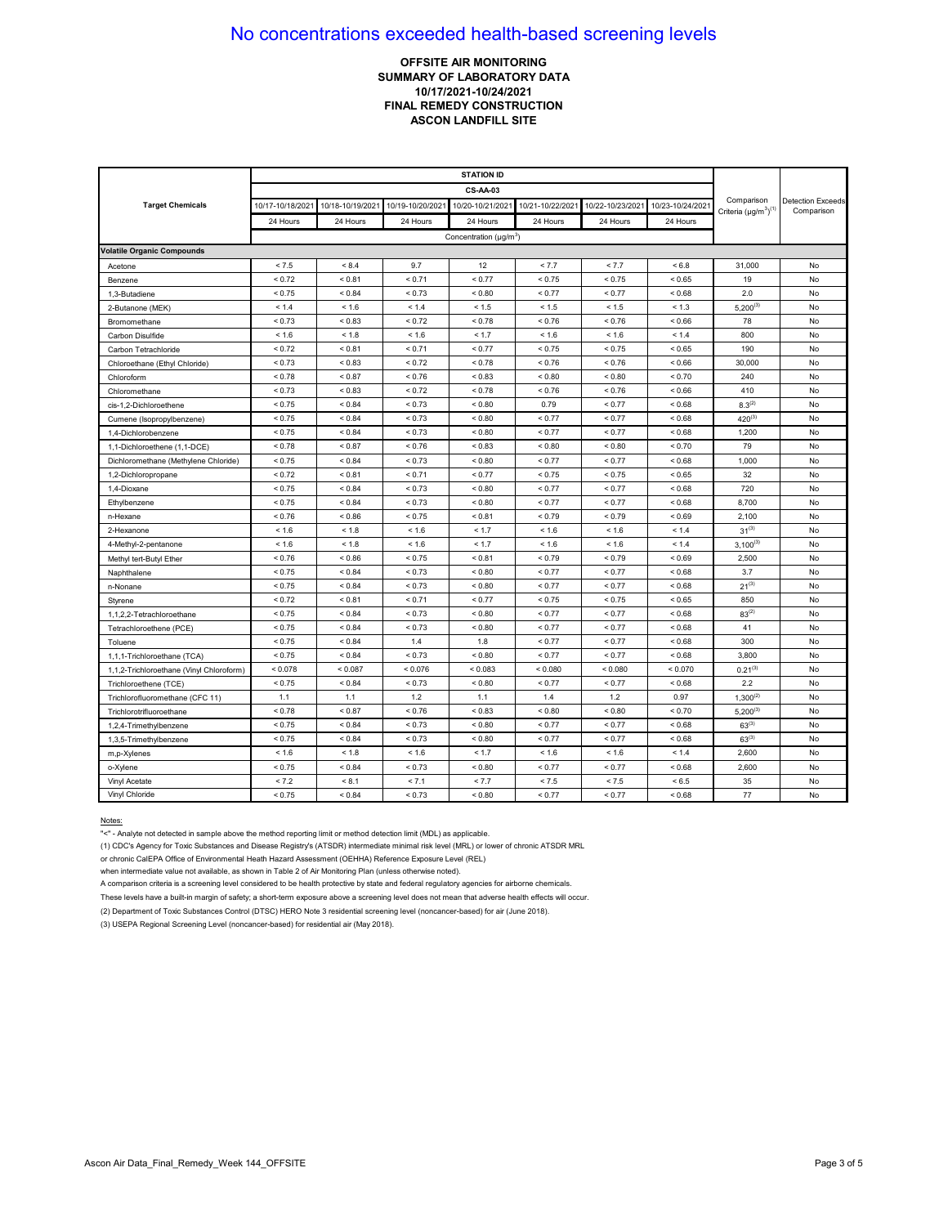### **OFFSITE AIR MONITORING SUMMARY OF LABORATORY DATA 10/17/2021-10/24/2021 FINAL REMEDY CONSTRUCTION ASCON LANDFILL SITE**

|                                          |                  |                  |                  | <b>CS-AA-03</b>               |                  |                  |                  |                                            |                                        |
|------------------------------------------|------------------|------------------|------------------|-------------------------------|------------------|------------------|------------------|--------------------------------------------|----------------------------------------|
| <b>Target Chemicals</b>                  | 10/17-10/18/2021 | 10/18-10/19/2021 | 10/19-10/20/2021 | 10/20-10/21/202               | 10/21-10/22/2021 | 10/22-10/23/2021 | 10/23-10/24/2021 | Comparison<br>Criteria $(\mu g/m^3)^{(1)}$ | <b>Detection Exceeds</b><br>Comparison |
|                                          | 24 Hours         | 24 Hours         | 24 Hours         | 24 Hours                      | 24 Hours         | 24 Hours         | 24 Hours         |                                            |                                        |
|                                          |                  |                  |                  | Concentration ( $\mu q/m^3$ ) |                  |                  |                  |                                            |                                        |
| <b>Volatile Organic Compounds</b>        |                  |                  |                  |                               |                  |                  |                  |                                            |                                        |
| Acetone                                  | < 7.5            | < 8.4            | 9.7              | 12                            | < 7.7            | < 7.7            | < 6.8            | 31,000                                     | No                                     |
| Benzene                                  | < 0.72           | < 0.81           | < 0.71           | < 0.77                        | < 0.75           | < 0.75           | < 0.65           | 19                                         | No                                     |
| 1,3-Butadiene                            | < 0.75           | < 0.84           | ${}_{0.73}$      | ${}_{0.80}$                   | < 0.77           | < 0.77           | < 0.68           | 2.0                                        | No                                     |
| 2-Butanone (MEK)                         | < 1.4            | < 1.6            | < 1.4            | < 1.5                         | < 1.5            | < 1.5            | < 1.3            | $5,200^{(3)}$                              | No                                     |
| Bromomethane                             | < 0.73           | < 0.83           | < 0.72           | < 0.78                        | < 0.76           | < 0.76           | < 0.66           | 78                                         | No                                     |
| Carbon Disulfide                         | < 1.6            | < 1.8            | < 1.6            | < 1.7                         | < 1.6            | < 1.6            | < 1.4            | 800                                        | No                                     |
| Carbon Tetrachloride                     | < 0.72           | ${}_{0.81}$      | < 0.71           | < 0.77                        | ${}_{0.75}$      | < 0.75           | ${}< 0.65$       | 190                                        | No                                     |
| Chloroethane (Ethyl Chloride)            | < 0.73           | < 0.83           | ${}_{0.72}$      | < 0.78                        | < 0.76           | < 0.76           | ${}_{0.66}$      | 30,000                                     | No                                     |
| Chloroform                               | < 0.78           | ${}_{0.87}$      | < 0.76           | < 0.83                        | ${}_{0.80}$      | ${}_{0.80}$      | ${}_{0.70}$      | 240                                        | No                                     |
| Chloromethane                            | < 0.73           | < 0.83           | ${}_{0.72}$      | < 0.78                        | < 0.76           | < 0.76           | ${}_{0.66}$      | 410                                        | No                                     |
| cis-1.2-Dichloroethene                   | < 0.75           | < 0.84           | < 0.73           | ${}_{<0.80}$                  | 0.79             | < 0.77           | 0.68             | $8.3^{(2)}$                                | No                                     |
| Cumene (Isopropylbenzene)                | < 0.75           | ${}_{0.84}$      | ${}_{0.73}$      | < 0.80                        | < 0.77           | < 0.77           | < 0.68           | $420^{(3)}$                                | No                                     |
| 1,4-Dichlorobenzene                      | < 0.75           | ${}_{0.84}$      | ${}_{0.73}$      | ${}_{0.80}$                   | < 0.77           | < 0.77           | < 0.68           | 1,200                                      | No                                     |
| 1,1-Dichloroethene (1,1-DCE)             | < 0.78           | < 0.87           | < 0.76           | < 0.83                        | ${}_{0.80}$      | < 0.80           | < 0.70           | 79                                         | No                                     |
| Dichloromethane (Methylene Chloride)     | < 0.75           | < 0.84           | < 0.73           | ${}_{<0.80}$                  | < 0.77           | < 0.77           | < 0.68           | 1,000                                      | No                                     |
| 1,2-Dichloropropane                      | < 0.72           | ${}_{0.81}$      | < 0.71           | < 0.77                        | ${}_{0.75}$      | < 0.75           | ${}_{<0.65}$     | 32                                         | No                                     |
| 1,4-Dioxane                              | < 0.75           |                  | ${}_{0.73}$      | ${}_{0.80}$                   | ${}_{0.77}$      | < 0.77           | < 0.68           | 720                                        | No                                     |
| Ethylbenzene                             | < 0.75           | < 0.84           | < 0.73           | ${}_{0.80}$                   | < 0.77           | < 0.77           | < 0.68           | 8,700                                      | No                                     |
| n-Hexane                                 | < 0.76           | < 0.86           | < 0.75           | < 0.81                        | < 0.79           | < 0.79           | ${}_{0.69}$      | 2,100                                      | No                                     |
| 2-Hexanone                               | < 1.6            | < 1.8            | < 1.6            | < 1.7                         | < 1.6            | < 1.6            | < 1.4            | $31^{(3)}$                                 | No                                     |
| 4-Methyl-2-pentanone                     | < 1.6            | < 1.8            | < 1.6            | < 1.7                         | < 1.6            | < 1.6            | < 1.4            | $3.100^{(3)}$                              | No                                     |
| Methyl tert-Butyl Ether                  | < 0.76           | < 0.86           | ${}_{0.75}$      | < 0.81                        | < 0.79           | < 0.79           | ${}_{0.69}$      | 2,500                                      | No                                     |
| Naphthalene                              | < 0.75           | < 0.84           | < 0.73           | ${}_{0.80}$                   | < 0.77           | < 0.77           | < 0.68           | 3.7                                        | No                                     |
| n-Nonane                                 | < 0.75           | < 0.84           | ${}_{0.73}$      | ${}_{0.80}$                   | < 0.77           | < 0.77           | &0.68            | $21^{(3)}$                                 | No                                     |
| Styrene                                  | < 0.72           |                  | < 0.71           | < 0.77                        | ${}_{0.75}$      | < 0.75           | ${}_{<0.65}$     | 850                                        | No                                     |
| 1,1,2,2-Tetrachloroethane                | < 0.75           | < 0.84           | ${}_{0.73}$      | < 0.80                        | < 0.77           | < 0.77           | ${}_{0.68}$      | $83^{(2)}$                                 | No                                     |
| Tetrachloroethene (PCE)                  | < 0.75           | < 0.84           | < 0.73           | < 0.80                        | < 0.77           | < 0.77           | < 0.68           | 41                                         | No                                     |
| Toluene                                  | < 0.75           | < 0.84           | 1.4              | 1.8                           | < 0.77           | < 0.77           | < 0.68           | 300                                        | No                                     |
| 1,1,1-Trichloroethane (TCA)              | < 0.75           | ${}_{0.84}$      | ${}_{0.73}$      | ${}_{0.80}$                   | < 0.77           | < 0.77           | < 0.68           | 3,800                                      | No                                     |
| 1,1,2-Trichloroethane (Vinyl Chloroform) | < 0.078          | < 0.087          | < 0.076          | < 0.083                       | ${}_{0.080}$     | < 0.080          | < 0.070          | $0.21^{(3)}$                               | No                                     |
| Trichloroethene (TCE)                    | < 0.75           | ${}_{0.84}$      | < 0.73           | ${}_{0.80}$                   | < 0.77           | < 0.77           | ${}_{0.68}$      | 2.2                                        | No                                     |
| Trichlorofluoromethane (CFC 11)          | 1.1              | 1.1              | 1.2              | 1.1                           | 1.4              | 1.2              | 0.97             | $1,300^{(2)}$                              | No                                     |
| Trichlorotrifluoroethane                 | < 0.78           | < 0.87           | < 0.76           | ${}_{< 0.83}$                 | ${}_{0.80}$      | < 0.80           | < 0.70           | $5,200^{(3)}$                              | No                                     |
| 1,2,4-Trimethylbenzene                   | < 0.75           | ${}_{0.84}$      | ${}_{0.73}$      | ${}_{0.80}$                   | < 0.77           | < 0.77           | ${}_{0.68}$      | $63^{(3)}$                                 | No                                     |
| 1,3,5-Trimethylbenzene                   | < 0.75           | < 0.84           | ${}_{0.73}$      | ${}_{0.80}$                   | < 0.77           | < 0.77           | &0.68            | $63^{(3)}$                                 | No                                     |
| m,p-Xylenes                              | < 1.6            | < 1.8            | < 1.6            | < 1.7                         | < 1.6            | < 1.6            | < 1.4            | 2,600                                      | No                                     |
| o-Xylene                                 | < 0.75           | < 0.84           | < 0.73           | ${}_{0.80}$                   | < 0.77           | < 0.77           | < 0.68           | 2,600                                      | No                                     |
| Vinyl Acetate                            | < 7.2            | < 8.1            | < 7.1            | < 7.7                         | < 7.5            | < 7.5            | < 6.5            | 35                                         | No                                     |
| Vinyl Chloride                           | < 0.75           |                  | ${}_{0.73}$      | ${}_{0.80}$                   | < 0.77           | < 0.77           | < 0.68           | 77                                         | No                                     |

#### Notes:

"<" - Analyte not detected in sample above the method reporting limit or method detection limit (MDL) as applicable.

(1) CDC's Agency for Toxic Substances and Disease Registry's (ATSDR) intermediate minimal risk level (MRL) or lower of chronic ATSDR MRL

or chronic CalEPA Office of Environmental Heath Hazard Assessment (OEHHA) Reference Exposure Level (REL)

when intermediate value not available, as shown in Table 2 of Air Monitoring Plan (unless otherwise noted).

A comparison criteria is a screening level considered to be health protective by state and federal regulatory agencies for airborne chemicals.

These levels have a built-in margin of safety; a short-term exposure above a screening level does not mean that adverse health effects will occur.

(2) Department of Toxic Substances Control (DTSC) HERO Note 3 residential screening level (noncancer-based) for air (June 2018).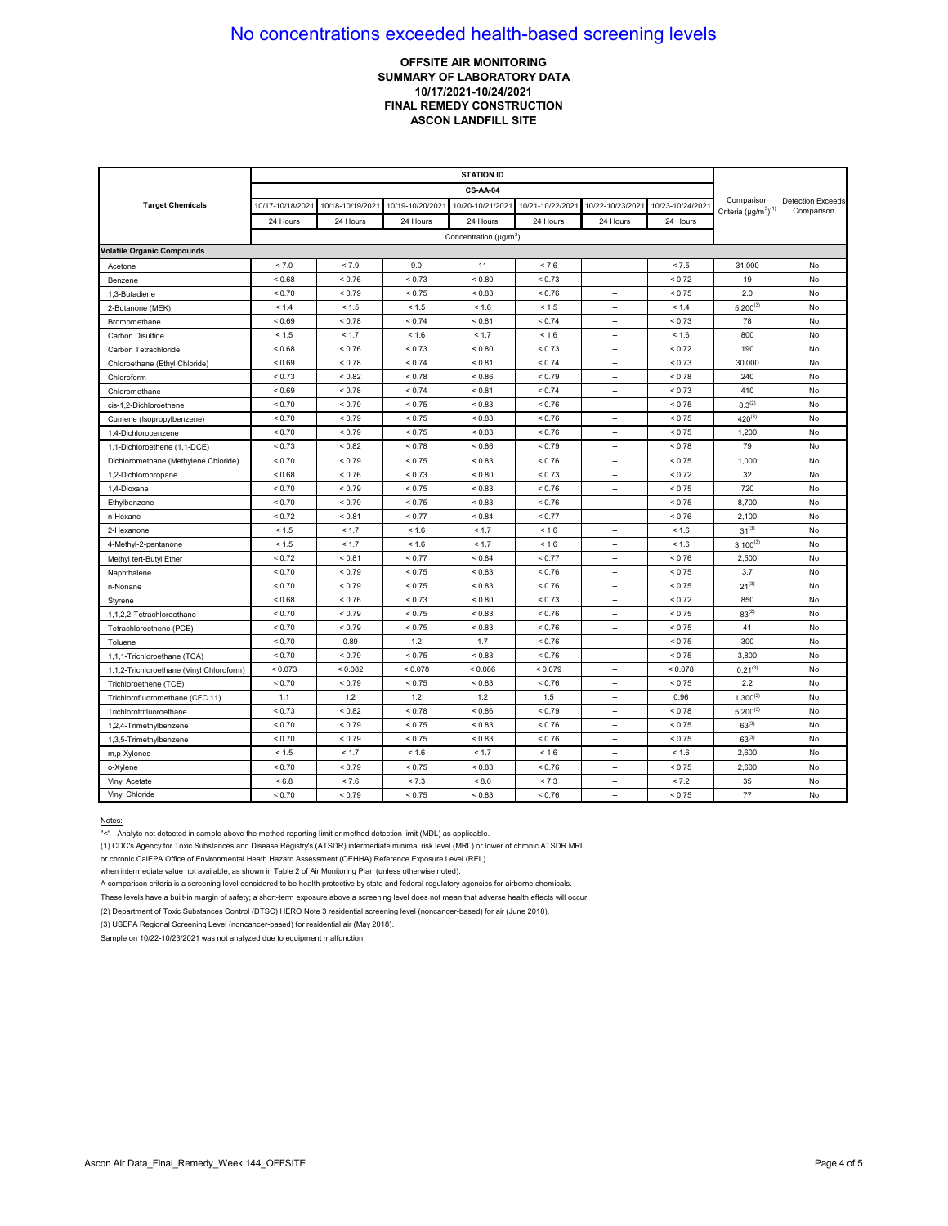### **OFFSITE AIR MONITORING SUMMARY OF LABORATORY DATA 10/17/2021-10/24/2021 FINAL REMEDY CONSTRUCTION ASCON LANDFILL SITE**

|                                          | <b>STATION ID</b> |                  |                  |                                          |                  |                          |                  |                                            |                                        |
|------------------------------------------|-------------------|------------------|------------------|------------------------------------------|------------------|--------------------------|------------------|--------------------------------------------|----------------------------------------|
|                                          |                   |                  |                  |                                          |                  |                          |                  |                                            |                                        |
| <b>Target Chemicals</b>                  | 10/17-10/18/2021  | 10/18-10/19/2021 | 10/19-10/20/2021 | 10/20-10/21/2021                         | 10/21-10/22/2021 | 10/22-10/23/2021         | 10/23-10/24/2021 | Comparison<br>Criteria $(\mu g/m^3)^{(1)}$ | <b>Detection Exceeds</b><br>Comparison |
|                                          | 24 Hours          | 24 Hours         | 24 Hours         | 24 Hours                                 | 24 Hours         | 24 Hours                 | 24 Hours         |                                            |                                        |
|                                          |                   |                  |                  | Concentration ( $\mu$ g/m <sup>3</sup> ) |                  |                          |                  |                                            |                                        |
| <b>Volatile Organic Compounds</b>        |                   |                  |                  |                                          |                  |                          |                  |                                            |                                        |
| Acetone                                  | < 7.0             | < 7.9            | 9.0              | 11                                       | < 7.6            |                          | < 7.5            | 31,000                                     | No                                     |
| Benzene                                  | ${}_{0.68}$       | < 0.76           | < 0.73           | ${}_{0.80}$                              | ${}_{5.73}$      | $\overline{\phantom{a}}$ | < 0.72           | 19                                         | No                                     |
| 1,3-Butadiene                            | < 0.70            | < 0.79           | < 0.75           | < 0.83                                   | < 0.76           | $\overline{\phantom{a}}$ | < 0.75           | 2.0                                        | No                                     |
| 2-Butanone (MEK)                         | < 1.4             | < 1.5            | < 1.5            | < 1.6                                    | < 1.5            | $\overline{\phantom{a}}$ | < 1.4            | $5,200^{(3)}$                              | No                                     |
| Bromomethane                             | ${}_{0.69}$       | < 0.78           | < 0.74           | < 0.81                                   | < 0.74           | ц,                       | < 0.73           | 78                                         | No                                     |
| Carbon Disulfide                         | < 1.5             | < 1.7            | < 1.6            | < 1.7                                    | < 1.6            | $\overline{\phantom{a}}$ | < 1.6            | 800                                        | No                                     |
| Carbon Tetrachloride                     | ${}_{0.68}$       | < 0.76           | ${}_{5.73}$      | ${}_{0.80}$                              | ${}_{5.73}$      | ÷.                       | < 0.72           | 190                                        | No                                     |
| Chloroethane (Ethyl Chloride)            | ${}_{0.69}$       | < 0.78           | < 0.74           | < 0.81                                   | ${}_{0.74}$      | $\sim$                   | ${}_{0.73}$      | 30,000                                     | No                                     |
| Chloroform                               | < 0.73            | < 0.82           | < 0.78           | < 0.86                                   | ${}_{5.79}$      | <u></u>                  | ${}_{0.78}$      | 240                                        | No                                     |
| Chloromethane                            | ${}_{0.69}$       | < 0.78           | < 0.74           | < 0.81                                   | < 0.74           | $\overline{\phantom{a}}$ | < 0.73           | 410                                        | No                                     |
| cis-1,2-Dichloroethene                   | < 0.70            | < 0.79           | < 0.75           | < 0.83                                   | < 0.76           | ٠.                       | < 0.75           | $8.3^{(2)}$                                | No                                     |
| Cumene (Isopropylbenzene)                | < 0.70            | < 0.79           | < 0.75           | < 0.83                                   | < 0.76           | $\sim$                   | < 0.75           | $420^{(3)}$                                | No                                     |
| 1.4-Dichlorobenzene                      | ${}_{0.70}$       | ${}_{5.79}$      | < 0.75           | ${}_{0.83}$                              | < 0.76           | $\overline{\phantom{a}}$ | < 0.75           | 1,200                                      | No                                     |
| 1,1-Dichloroethene (1,1-DCE)             | ${}_{0.73}$       | ${}_{< 0.82}$    | < 0.78           | < 0.86                                   | < 0.79           | $\sim$                   | < 0.78           | 79                                         | No                                     |
| Dichloromethane (Methylene Chloride)     | ${}_{0.70}$       | < 0.79           | < 0.75           | ${}_{0.83}$                              | < 0.76           | $\sim$                   | < 0.75           | 1,000                                      | No                                     |
| 1,2-Dichloropropane                      | ${}_{<0.68}$      | < 0.76           | < 0.73           | < 0.80                                   | < 0.73           | $\overline{\phantom{a}}$ | < 0.72           | 32                                         | No                                     |
| 1,4-Dioxane                              | ${}_{0.70}$       | ${}_{0.79}$      | < 0.75           | ${}_{0.83}$                              | < 0.76           | $\overline{\phantom{a}}$ | < 0.75           | 720                                        | No                                     |
| Ethylbenzene                             | ${}_{0.70}$       | < 0.79           | < 0.75           | < 0.83                                   | < 0.76           | $\overline{\phantom{a}}$ | < 0.75           | 8,700                                      | No                                     |
| n-Hexane                                 | ${}_{0.72}$       | ${}_{0.81}$      | < 0.77           | ${}_{0.84}$                              | < 0.77           | $\ddot{\phantom{a}}$     | ${}< 0.76$       | 2,100                                      | No                                     |
| 2-Hexanone                               | < 1.5             | < 1.7            | < 1.6            | < 1.7                                    | < 1.6            | <u></u>                  | < 1.6            | $31^{(3)}$                                 | No                                     |
| 4-Methyl-2-pentanone                     | < 1.5             | < 1.7            | < 1.6            | < 1.7                                    | < 1.6            | $\sim$                   | < 1.6            | $3,100^{(3)}$                              | No                                     |
| Methyl tert-Butyl Ether                  | < 0.72            | < 0.81           | < 0.77           | < 0.84                                   | < 0.77           | ц,                       | < 0.76           | 2,500                                      | No                                     |
| Naphthalene                              | < 0.70            | < 0.79           | < 0.75           | < 0.83                                   | < 0.76           | $\sim$                   | < 0.75           | 3.7                                        | No                                     |
| n-Nonane                                 | < 0.70            | < 0.79           | < 0.75           | < 0.83                                   | < 0.76           | $\overline{\phantom{a}}$ | < 0.75           | $21^{(3)}$                                 | No                                     |
| Styrene                                  | ${}_{0.68}$       | < 0.76           | < 0.73           | < 0.80                                   | < 0.73           | $\sim$                   | < 0.72           | 850                                        | No                                     |
| 1,1,2,2-Tetrachloroethane                | ${}_{0.70}$       | ${}_{5.79}$      | < 0.75           | ${}_{0.83}$                              | < 0.76           | ÷.                       | < 0.75           | $83^{(2)}$                                 | No                                     |
| Tetrachloroethene (PCE)                  | ${}_{0.70}$       | < 0.79           | < 0.75           | ${}_{0.83}$                              | < 0.76           | $\overline{\phantom{a}}$ | < 0.75           | 41                                         | No                                     |
| Toluene                                  | ${}_{0.70}$       | 0.89             | 1.2              | 1.7                                      | < 0.76           | $\overline{\phantom{a}}$ | < 0.75           | 300                                        | No                                     |
| 1,1,1-Trichloroethane (TCA)              | ${}_{0.70}$       | < 0.79           | < 0.75           | ${}_{0.83}$                              | < 0.76           | $\overline{\phantom{a}}$ | < 0.75           | 3,800                                      | No                                     |
| 1,1,2-Trichloroethane (Vinyl Chloroform) | < 0.073           | < 0.082          | < 0.078          | < 0.086                                  | < 0.079          | $\overline{\phantom{a}}$ | < 0.078          | $0.21^{(3)}$                               | No                                     |
| Trichloroethene (TCE)                    | < 0.70            | < 0.79           | < 0.75           | < 0.83                                   | < 0.76           | ÷.                       | < 0.75           | 2.2                                        | No                                     |
| Trichlorofluoromethane (CFC 11)          | 1.1               | 1.2              | 1.2              | 1.2                                      | 1.5              | $\ddot{\phantom{a}}$     | 0.96             | $1,300^{(2)}$                              | No                                     |
| Trichlorotrifluoroethane                 | < 0.73            |                  | ${}_{5.78}$      | < 0.86                                   | < 0.79           | ÷.                       | ${}_{0.78}$      | $5,200^{(3)}$                              | No                                     |
| 1,2,4-Trimethylbenzene                   | ${}_{0.70}$       | < 0.79           | < 0.75           | ${}_{0.83}$                              | < 0.76           | $\sim$                   | < 0.75           | $63^{(3)}$                                 | No                                     |
| 1,3,5-Trimethylbenzene                   | < 0.70            | < 0.79           | < 0.75           | < 0.83                                   | < 0.76           | ٠.                       | < 0.75           | $63^{(3)}$                                 | No                                     |
| m,p-Xylenes                              | < 1.5             | < 1.7            | < 1.6            | < 1.7                                    | < 1.6            | $\overline{\phantom{a}}$ | < 1.6            | 2,600                                      | No                                     |
| o-Xylene                                 | < 0.70            | < 0.79           | < 0.75           | < 0.83                                   | < 0.76           | $\ddot{\phantom{a}}$     | < 0.75           | 2,600                                      | No                                     |
| Vinyl Acetate                            | < 6.8             | < 7.6            | < 7.3            | ${}< 8.0$                                | < 7.3            | $\sim$                   | < 7.2            | 35                                         | No                                     |
| Vinyl Chloride                           | ${}_{0.70}$       | ${}_{5.79}$      | < 0.75           | ${}_{0.83}$                              | < 0.76           | --                       | < 0.75           | 77                                         | No                                     |

Notes:

"<" - Analyte not detected in sample above the method reporting limit or method detection limit (MDL) as applicable.

(1) CDC's Agency for Toxic Substances and Disease Registry's (ATSDR) intermediate minimal risk level (MRL) or lower of chronic ATSDR MRL

or chronic CalEPA Office of Environmental Heath Hazard Assessment (OEHHA) Reference Exposure Level (REL)

when intermediate value not available, as shown in Table 2 of Air Monitoring Plan (unless otherwise noted).

A comparison criteria is a screening level considered to be health protective by state and federal regulatory agencies for airborne chemicals.

These levels have a built-in margin of safety; a short-term exposure above a screening level does not mean that adverse health effects will occur.

(2) Department of Toxic Substances Control (DTSC) HERO Note 3 residential screening level (noncancer-based) for air (June 2018).

(3) USEPA Regional Screening Level (noncancer-based) for residential air (May 2018).

Sample on 10/22-10/23/2021 was not analyzed due to equipment malfunction.